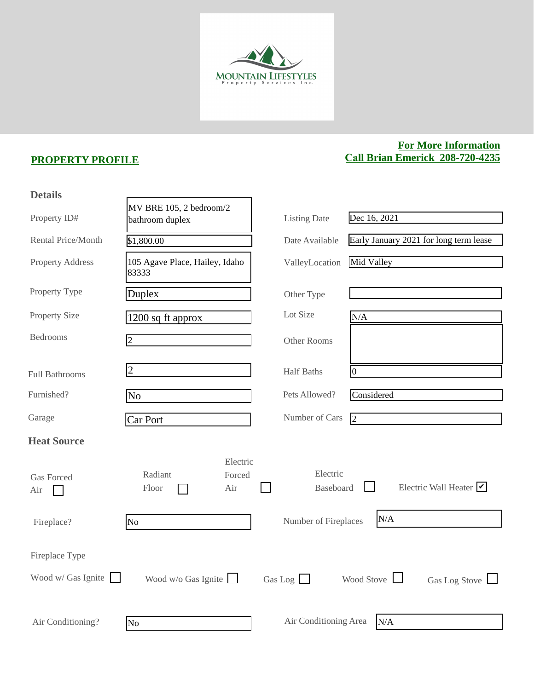

## **PROPERTY PROFILE**

## **For More Information Call Brian Emerick 208-720-4235**

| MV BRE 105, 2 bedroom/2<br>Dec 16, 2021<br>Property ID#<br><b>Listing Date</b><br>bathroom duplex<br>Rental Price/Month<br>Early January 2021 for long term lease<br>Date Available<br>\$1,800.00 |  |
|---------------------------------------------------------------------------------------------------------------------------------------------------------------------------------------------------|--|
|                                                                                                                                                                                                   |  |
|                                                                                                                                                                                                   |  |
| Mid Valley<br>105 Agave Place, Hailey, Idaho<br><b>Property Address</b><br>ValleyLocation<br>83333                                                                                                |  |
| Property Type<br>Duplex<br>Other Type                                                                                                                                                             |  |
| Lot Size<br><b>Property Size</b><br>N/A<br>1200 sq ft approx                                                                                                                                      |  |
| <b>Bedrooms</b><br>$ 2\rangle$<br>Other Rooms                                                                                                                                                     |  |
| $\overline{2}$<br><b>Half Baths</b><br>$\vert 0 \vert$<br><b>Full Bathrooms</b>                                                                                                                   |  |
| Pets Allowed?<br>Furnished?<br>Considered<br>No                                                                                                                                                   |  |
| Number of Cars<br>Garage<br>$\overline{2}$<br>Car Port                                                                                                                                            |  |
| <b>Heat Source</b>                                                                                                                                                                                |  |
| Electric<br>Electric<br>Radiant<br>Forced<br><b>Gas Forced</b><br>Electric Wall Heater $\triangledown$<br>Baseboard<br>Floor<br>Air<br>Air                                                        |  |
| N/A<br>Number of Fireplaces<br>N <sub>o</sub><br>Fireplace?                                                                                                                                       |  |
| Fireplace Type<br>Wood w/ Gas Ignite $\Box$<br>Wood Stove<br>Wood $w/o$ Gas Ignite                                                                                                                |  |
| Gas Log $\Box$<br>Gas Log Stove $\Box$<br>Air Conditioning Area<br>N/A<br>Air Conditioning?<br>No.                                                                                                |  |